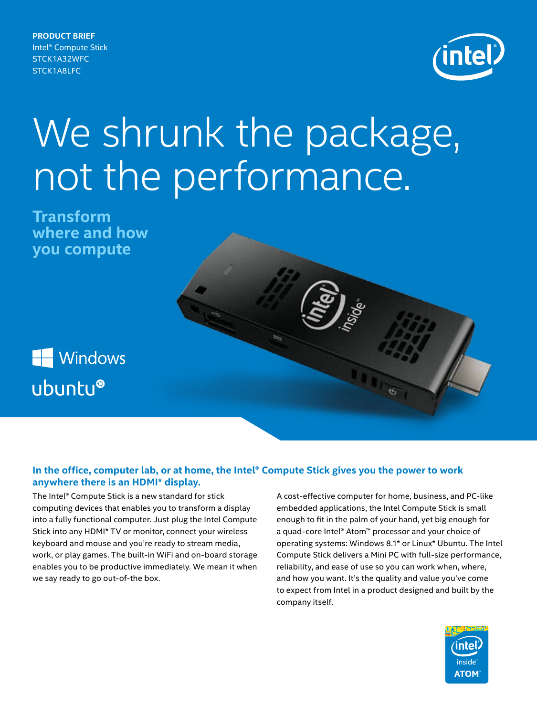**PRODUCT BRIEF** Intel® Compute Stick STCK1A32WFC STCK1A8LFC



# We shrunk the package, not the performance.

**Transform where and how you compute**

Windows ubuntu®

# **In the office, computer lab, or at home, the Intel® Compute Stick gives you the power to work anywhere there is an HDMI\* display.**

The Intel® Compute Stick is a new standard for stick computing devices that enables you to transform a display into a fully functional computer. Just plug the Intel Compute Stick into any HDMI\* TV or monitor, connect your wireless keyboard and mouse and you're ready to stream media, work, or play games. The built-in WiFi and on-board storage enables you to be productive immediately. We mean it when we say ready to go out-of-the box.

A cost-effective computer for home, business, and PC-like embedded applications, the Intel Compute Stick is small enough to fit in the palm of your hand, yet big enough for a quad-core Intel® Atom™ processor and your choice of operating systems: Windows 8.1\* or Linux\* Ubuntu. The Intel Compute Stick delivers a Mini PC with full-size performance, reliability, and ease of use so you can work when, where, and how you want. It's the quality and value you've come to expect from Intel in a product designed and built by the company itself.

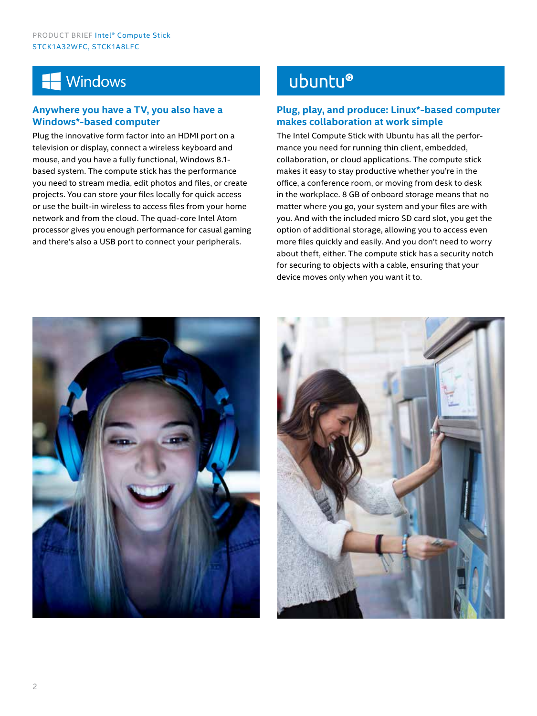# **Windows**

# **Anywhere you have a TV, you also have a Windows\*-based computer**

Plug the innovative form factor into an HDMI port on a television or display, connect a wireless keyboard and mouse, and you have a fully functional, Windows 8.1 based system. The compute stick has the performance you need to stream media, edit photos and files, or create projects. You can store your files locally for quick access or use the built-in wireless to access files from your home network and from the cloud. The quad-core Intel Atom processor gives you enough performance for casual gaming and there's also a USB port to connect your peripherals.

# ubuntu®

# **Plug, play, and produce: Linux\*-based computer makes collaboration at work simple**

The Intel Compute Stick with Ubuntu has all the performance you need for running thin client, embedded, collaboration, or cloud applications. The compute stick makes it easy to stay productive whether you're in the office, a conference room, or moving from desk to desk in the workplace. 8 GB of onboard storage means that no matter where you go, your system and your files are with you. And with the included micro SD card slot, you get the option of additional storage, allowing you to access even more files quickly and easily. And you don't need to worry about theft, either. The compute stick has a security notch for securing to objects with a cable, ensuring that your device moves only when you want it to.



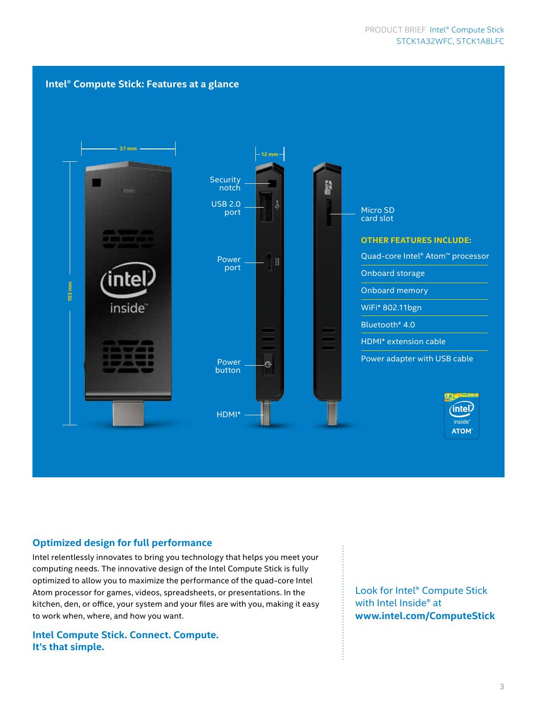

## **Optimized design for full performance**

Intel relentlessly innovates to bring you technology that helps you meet your computing needs. The innovative design of the Intel Compute Stick is fully optimized to allow you to maximize the performance of the quad-core Intel Atom processor for games, videos, spreadsheets, or presentations. In the kitchen, den, or office, your system and your files are with you, making it easy to work when, where, and how you want.

**Intel Compute Stick. Connect. Compute. It's that simple.**

Look for Intel® Compute Stick with Intel Inside® at **www.intel.com/ComputeStick**